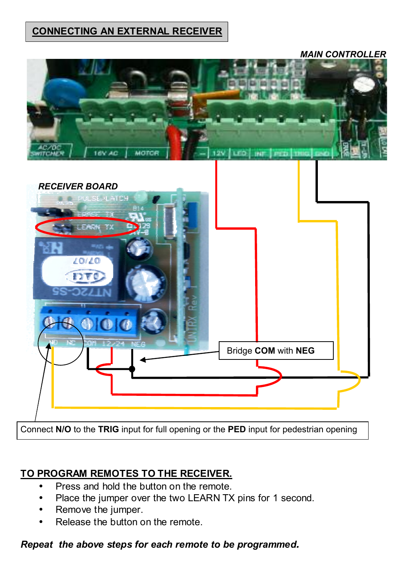## **CONNECTING AN EXTERNAL RECEIVER**





Connect **N/O** to the **TRIG** input for full opening or the **PED** input for pedestrian opening

# **TO PROGRAM REMOTES TO THE RECEIVER.**

- Press and hold the button on the remote.
- Place the jumper over the two LEARN TX pins for 1 second.
- Remove the jumper.
- Release the button on the remote.

### *Repeat the above steps for each remote to be programmed.*